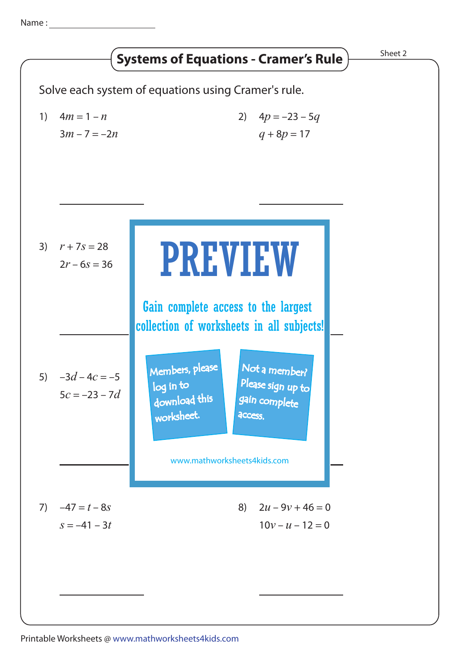